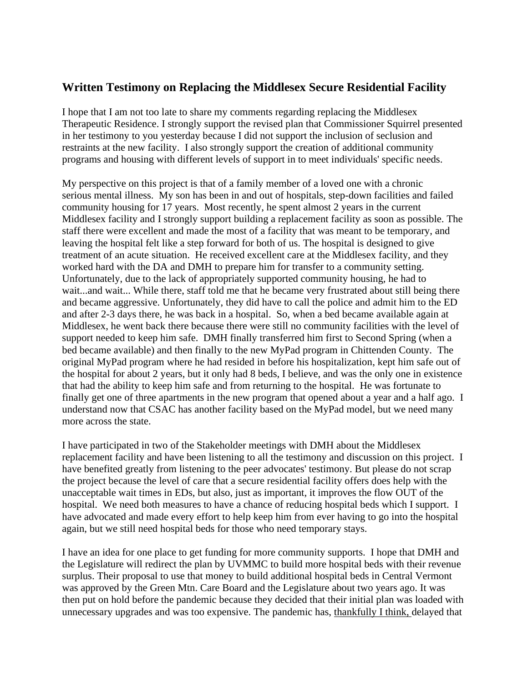## **Written Testimony on Replacing the Middlesex Secure Residential Facility**

I hope that I am not too late to share my comments regarding replacing the Middlesex Therapeutic Residence. I strongly support the revised plan that Commissioner Squirrel presented in her testimony to you yesterday because I did not support the inclusion of seclusion and restraints at the new facility. I also strongly support the creation of additional community programs and housing with different levels of support in to meet individuals' specific needs.

My perspective on this project is that of a family member of a loved one with a chronic serious mental illness. My son has been in and out of hospitals, step-down facilities and failed community housing for 17 years. Most recently, he spent almost 2 years in the current Middlesex facility and I strongly support building a replacement facility as soon as possible. The staff there were excellent and made the most of a facility that was meant to be temporary, and leaving the hospital felt like a step forward for both of us. The hospital is designed to give treatment of an acute situation. He received excellent care at the Middlesex facility, and they worked hard with the DA and DMH to prepare him for transfer to a community setting. Unfortunately, due to the lack of appropriately supported community housing, he had to wait...and wait... While there, staff told me that he became very frustrated about still being there and became aggressive. Unfortunately, they did have to call the police and admit him to the ED and after 2-3 days there, he was back in a hospital. So, when a bed became available again at Middlesex, he went back there because there were still no community facilities with the level of support needed to keep him safe. DMH finally transferred him first to Second Spring (when a bed became available) and then finally to the new MyPad program in Chittenden County. The original MyPad program where he had resided in before his hospitalization, kept him safe out of the hospital for about 2 years, but it only had 8 beds, I believe, and was the only one in existence that had the ability to keep him safe and from returning to the hospital. He was fortunate to finally get one of three apartments in the new program that opened about a year and a half ago. I understand now that CSAC has another facility based on the MyPad model, but we need many more across the state.

I have participated in two of the Stakeholder meetings with DMH about the Middlesex replacement facility and have been listening to all the testimony and discussion on this project. I have benefited greatly from listening to the peer advocates' testimony. But please do not scrap the project because the level of care that a secure residential facility offers does help with the unacceptable wait times in EDs, but also, just as important, it improves the flow OUT of the hospital. We need both measures to have a chance of reducing hospital beds which I support. I have advocated and made every effort to help keep him from ever having to go into the hospital again, but we still need hospital beds for those who need temporary stays.

I have an idea for one place to get funding for more community supports. I hope that DMH and the Legislature will redirect the plan by UVMMC to build more hospital beds with their revenue surplus. Their proposal to use that money to build additional hospital beds in Central Vermont was approved by the Green Mtn. Care Board and the Legislature about two years ago. It was then put on hold before the pandemic because they decided that their initial plan was loaded with unnecessary upgrades and was too expensive. The pandemic has, thankfully I think, delayed that